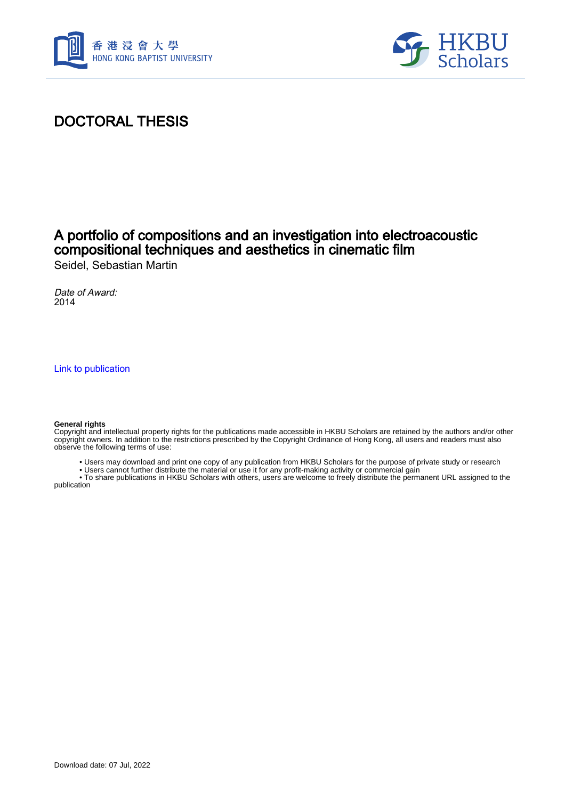



## DOCTORAL THESIS

# A portfolio of compositions and an investigation into electroacoustic compositional techniques and aesthetics in cinematic film

Seidel, Sebastian Martin

Date of Award: 2014

[Link to publication](https://scholars.hkbu.edu.hk/en/studentTheses/8ce49701-3588-40ba-b9ed-99731a452dbf)

#### **General rights**

Copyright and intellectual property rights for the publications made accessible in HKBU Scholars are retained by the authors and/or other copyright owners. In addition to the restrictions prescribed by the Copyright Ordinance of Hong Kong, all users and readers must also observe the following terms of use:

- Users may download and print one copy of any publication from HKBU Scholars for the purpose of private study or research
- Users cannot further distribute the material or use it for any profit-making activity or commercial gain

 • To share publications in HKBU Scholars with others, users are welcome to freely distribute the permanent URL assigned to the publication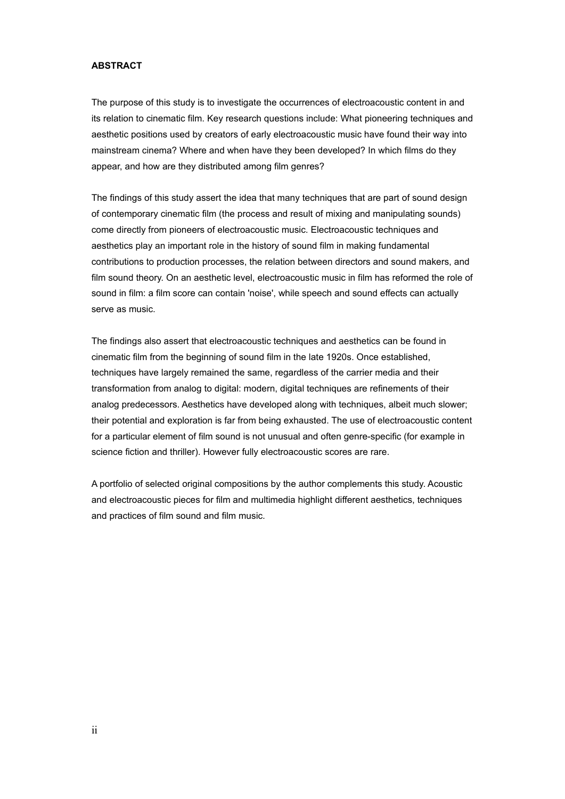#### **ABSTRACT**

The purpose of this study is to investigate the occurrences of electroacoustic content in and its relation to cinematic film. Key research questions include: What pioneering techniques and aesthetic positions used by creators of early electroacoustic music have found their way into mainstream cinema? Where and when have they been developed? In which films do they appear, and how are they distributed among film genres?

The findings of this study assert the idea that many techniques that are part of sound design of contemporary cinematic film (the process and result of mixing and manipulating sounds) come directly from pioneers of electroacoustic music. Electroacoustic techniques and aesthetics play an important role in the history of sound film in making fundamental contributions to production processes, the relation between directors and sound makers, and film sound theory. On an aesthetic level, electroacoustic music in film has reformed the role of sound in film: a film score can contain 'noise', while speech and sound effects can actually serve as music.

The findings also assert that electroacoustic techniques and aesthetics can be found in cinematic film from the beginning of sound film in the late 1920s. Once established, techniques have largely remained the same, regardless of the carrier media and their transformation from analog to digital: modern, digital techniques are refinements of their analog predecessors. Aesthetics have developed along with techniques, albeit much slower; their potential and exploration is far from being exhausted. The use of electroacoustic content for a particular element of film sound is not unusual and often genre-specific (for example in science fiction and thriller). However fully electroacoustic scores are rare.

A portfolio of selected original compositions by the author complements this study. Acoustic and electroacoustic pieces for film and multimedia highlight different aesthetics, techniques and practices of film sound and film music.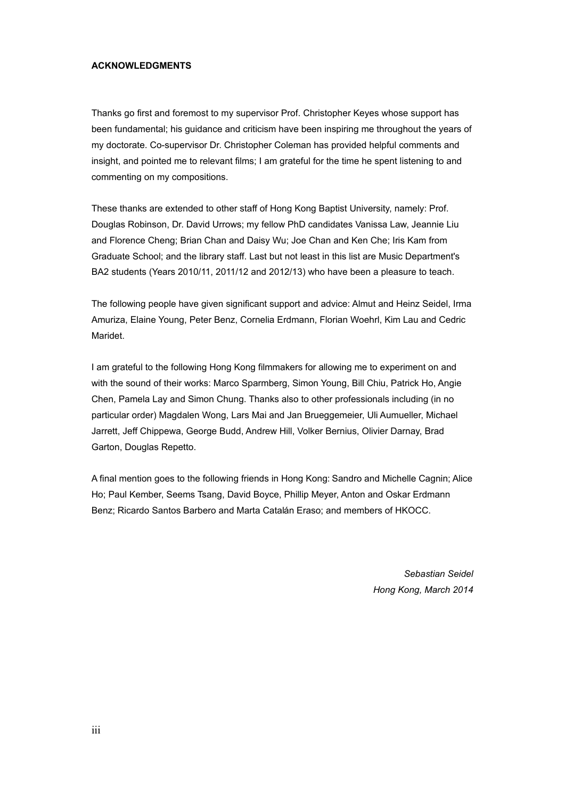#### **ACKNOWLEDGMENTS**

Thanks go first and foremost to my supervisor Prof. Christopher Keyes whose support has been fundamental; his guidance and criticism have been inspiring me throughout the years of my doctorate. Co-supervisor Dr. Christopher Coleman has provided helpful comments and insight, and pointed me to relevant films; I am grateful for the time he spent listening to and commenting on my compositions.

These thanks are extended to other staff of Hong Kong Baptist University, namely: Prof. Douglas Robinson, Dr. David Urrows; my fellow PhD candidates Vanissa Law, Jeannie Liu and Florence Cheng; Brian Chan and Daisy Wu; Joe Chan and Ken Che; Iris Kam from Graduate School; and the library staff. Last but not least in this list are Music Department's BA2 students (Years 2010/11, 2011/12 and 2012/13) who have been a pleasure to teach.

The following people have given significant support and advice: Almut and Heinz Seidel, Irma Amuriza, Elaine Young, Peter Benz, Cornelia Erdmann, Florian Woehrl, Kim Lau and Cedric Maridet.

I am grateful to the following Hong Kong filmmakers for allowing me to experiment on and with the sound of their works: Marco Sparmberg, Simon Young, Bill Chiu, Patrick Ho, Angie Chen, Pamela Lay and Simon Chung. Thanks also to other professionals including (in no particular order) Magdalen Wong, Lars Mai and Jan Brueggemeier, Uli Aumueller, Michael Jarrett, Jeff Chippewa, George Budd, Andrew Hill, Volker Bernius, Olivier Darnay, Brad Garton, Douglas Repetto.

A final mention goes to the following friends in Hong Kong: Sandro and Michelle Cagnin; Alice Ho; Paul Kember, Seems Tsang, David Boyce, Phillip Meyer, Anton and Oskar Erdmann Benz; Ricardo Santos Barbero and Marta Catalán Eraso; and members of HKOCC.

> *Sebastian Seidel Hong Kong, March 2014*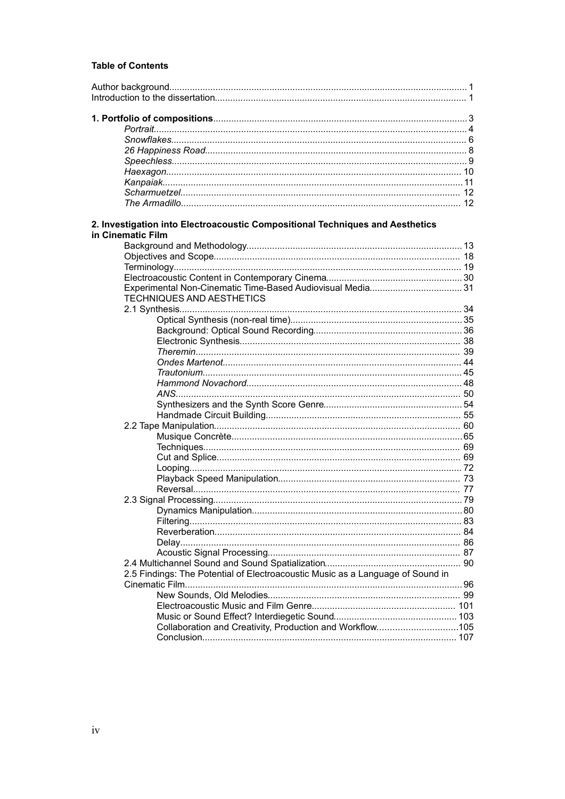### **Table of Contents**

| 2. Investigation into Electroacoustic Compositional Techniques and Aesthetics<br>in Cinematic Film |  |
|----------------------------------------------------------------------------------------------------|--|
|                                                                                                    |  |
|                                                                                                    |  |
|                                                                                                    |  |
|                                                                                                    |  |
|                                                                                                    |  |
|                                                                                                    |  |
| <b>TECHNIQUES AND AESTHETICS</b>                                                                   |  |
|                                                                                                    |  |
|                                                                                                    |  |
|                                                                                                    |  |
|                                                                                                    |  |
|                                                                                                    |  |
|                                                                                                    |  |
|                                                                                                    |  |
|                                                                                                    |  |
|                                                                                                    |  |
|                                                                                                    |  |
|                                                                                                    |  |
|                                                                                                    |  |
|                                                                                                    |  |
|                                                                                                    |  |
|                                                                                                    |  |
|                                                                                                    |  |
|                                                                                                    |  |
|                                                                                                    |  |
|                                                                                                    |  |
|                                                                                                    |  |
|                                                                                                    |  |
|                                                                                                    |  |
|                                                                                                    |  |
|                                                                                                    |  |
|                                                                                                    |  |
|                                                                                                    |  |
| 2.5 Findings: The Potential of Electroacoustic Music as a Language of Sound in                     |  |
|                                                                                                    |  |
|                                                                                                    |  |
|                                                                                                    |  |
|                                                                                                    |  |
| Collaboration and Creativity, Production and Workflow105                                           |  |
|                                                                                                    |  |